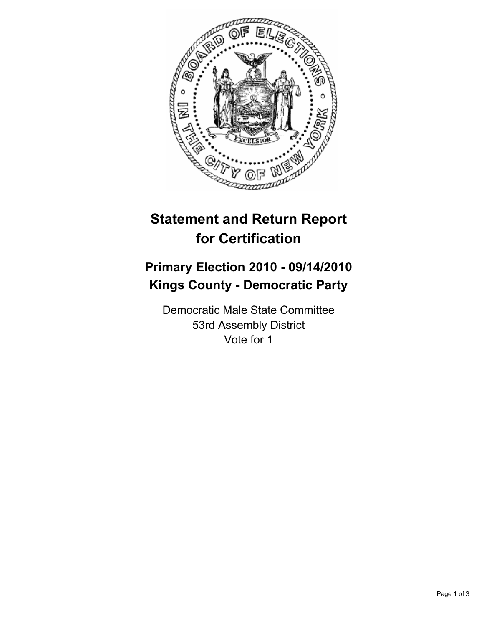

## **Statement and Return Report for Certification**

## **Primary Election 2010 - 09/14/2010 Kings County - Democratic Party**

Democratic Male State Committee 53rd Assembly District Vote for 1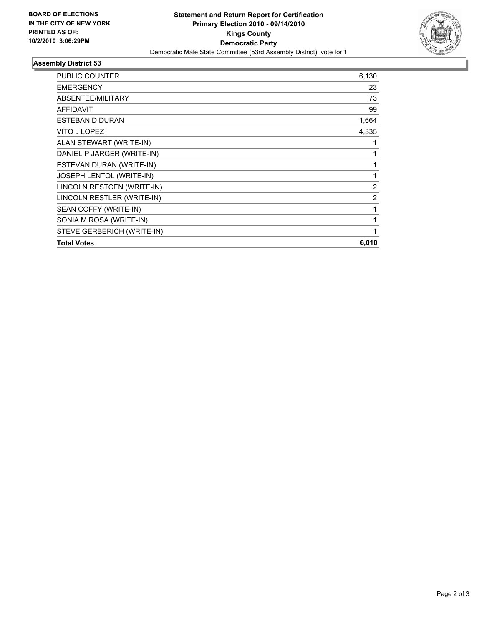

## **Assembly District 53**

| <b>Total Votes</b>         | 6,010        |
|----------------------------|--------------|
| STEVE GERBERICH (WRITE-IN) | $\mathbf{1}$ |
| SONIA M ROSA (WRITE-IN)    | 1            |
| SEAN COFFY (WRITE-IN)      | 1            |
| LINCOLN RESTLER (WRITE-IN) | 2            |
| LINCOLN RESTCEN (WRITE-IN) | 2            |
| JOSEPH LENTOL (WRITE-IN)   | 1            |
| ESTEVAN DURAN (WRITE-IN)   | 1            |
| DANIEL P JARGER (WRITE-IN) | 1            |
| ALAN STEWART (WRITE-IN)    | 1            |
| VITO J LOPEZ               | 4,335        |
| <b>ESTEBAN D DURAN</b>     | 1,664        |
| <b>AFFIDAVIT</b>           | 99           |
| ABSENTEE/MILITARY          | 73           |
| <b>EMERGENCY</b>           | 23           |
| PUBLIC COUNTER             | 6,130        |